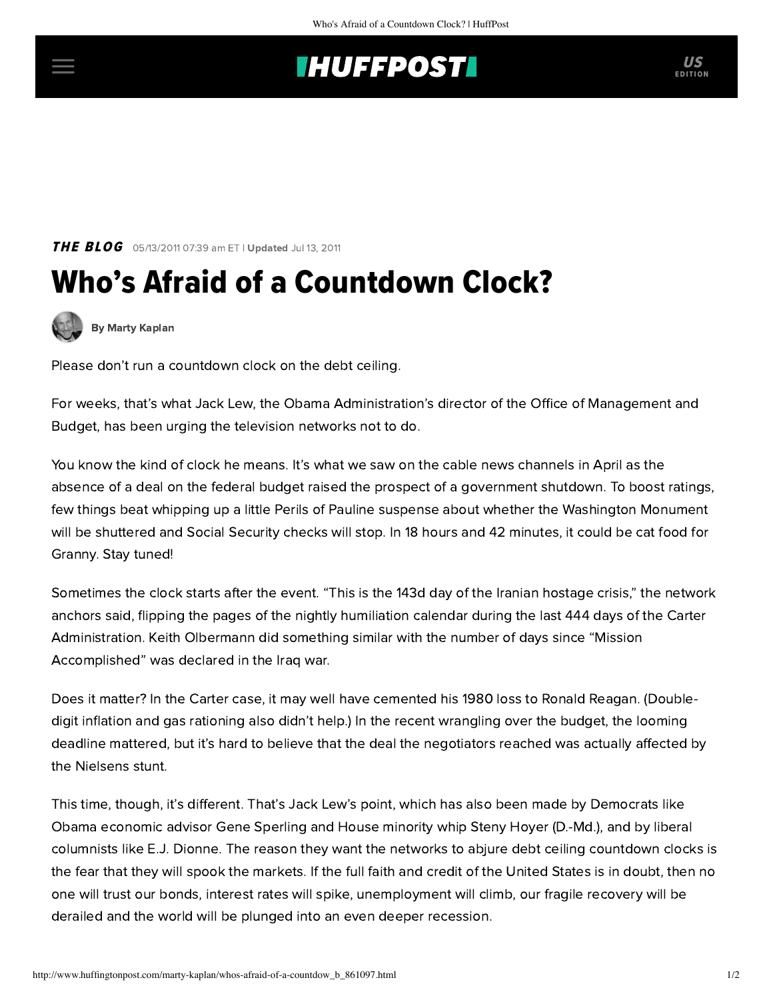## **INUFFPOSTI** US

**THE BLOG** 05/13/2011 07:39 am ET | Updated Jul 13, 2011

## Who's Afraid of a Countdown Clock?



[By Marty Kaplan](http://www.huffingtonpost.com/author/marty-kaplan)

Please don't run a countdown clock on the debt ceiling.

For [weeks,](http://www.politico.com/politico44/perm/0411/a_very_bad_thing_fbe293b4-0a70-4b04-a8dd-6ca44020318f.html) that's what Jack Lew, the Obama Administration's director of the Office of Management and Budget, has been [urging](http://www.kqed.org/news/story/2011/05/10/53510/debt_ceiling_hangs_over_deficit_reduction_talks?source=npr&category=economy) the television networks not to do.

You know the kind of clock he means. It's what we saw on the cable news channels in April as the absence of a deal on the federal budget raised the prospect of a government shutdown. To boost ratings, few things beat whipping up a little Perils of Pauline suspense about whether the Washington Monument will be shuttered and Social Security checks will stop. In 18 hours and 42 minutes, it could be cat food for Granny. Stay tuned!

Sometimes the clock starts after the event. "This is the 143d day of the Iranian hostage crisis," the network anchors said, flipping the pages of the nightly humiliation calendar during the last 444 days of the Carter Administration. Keith Olbermann did something similar with the number of days since "Mission Accomplished" was declared in the Iraq war.

Does it matter? In the Carter case, it may well have cemented his 1980 loss to Ronald Reagan. (Doubledigit inflation and gas rationing also didn't help.) In the recent wrangling over the budget, the looming deadline mattered, but it's hard to believe that the deal the negotiators reached was actually affected by the Nielsens stunt.

This time, though, it's different. That's Jack Lew's point, which has also been made by Democrats like Obama economic advisor [Gene Sperling](http://www.c-spanvideo.org/videoLibrary/clip.php?appid=599843053) and House minority whip [Steny Hoyer](http://thecaucus.blogs.nytimes.com/2011/04/17/amid-din-serious-talk-on-debt/) (D.-Md.), and by liberal columnists like [E.J. Dionne](http://www.livedash.com/transcript/the_last_word_with_lawrence_o). The reason they want the networks to abjure debt ceiling countdown clocks is the fear that they will spook the markets. If the full faith and credit of the United States is in doubt, then no one will trust our bonds, interest rates will spike, unemployment will climb, our fragile recovery will be derailed and the world will be plunged into an even deeper recession.